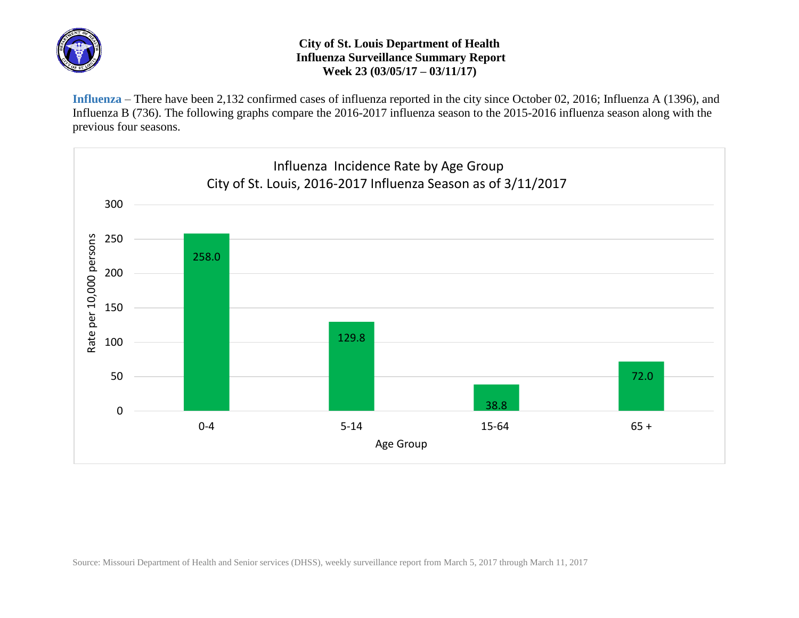

## **City of St. Louis Department of Health Influenza Surveillance Summary Report Week 23 (03/05/17 – 03/11/17)**

**Influenza** – There have been 2,132 confirmed cases of influenza reported in the city since October 02, 2016; Influenza A (1396), and Influenza B (736). The following graphs compare the 2016-2017 influenza season to the 2015-2016 influenza season along with the previous four seasons.